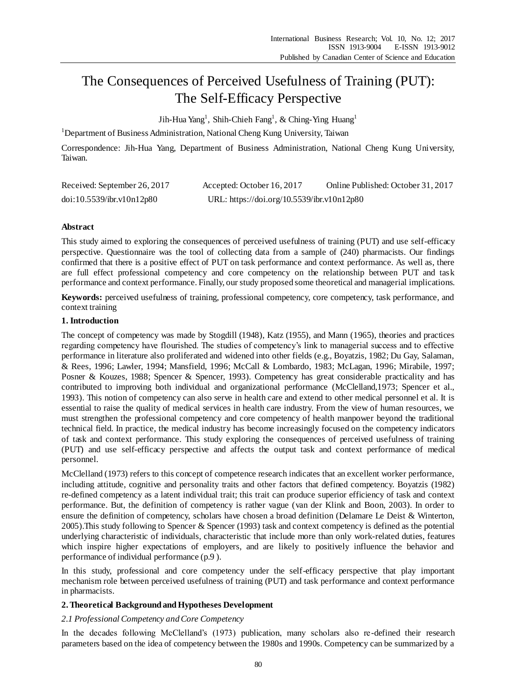# The Consequences of Perceived Usefulness of Training (PUT): The Self-Efficacy Perspective

Jih-Hua Yang<sup>1</sup>, Shih-Chieh Fang<sup>1</sup>, & Ching-Ying Huang<sup>1</sup>

<sup>1</sup>Department of Business Administration, National Cheng Kung University, Taiwan

Correspondence: Jih-Hua Yang, Department of Business Administration, National Cheng Kung University, Taiwan.

| Received: September 26, 2017 | Accepted: October 16, 2017                 | Online Published: October 31, 2017 |
|------------------------------|--------------------------------------------|------------------------------------|
| doi:10.5539/ibr.v10n12p80    | URL: https://doi.org/10.5539/ibr.v10n12p80 |                                    |

# **Abstract**

This study aimed to exploring the consequences of perceived usefulness of training (PUT) and use self-efficacy perspective. Questionnaire was the tool of collecting data from a sample of (240) pharmacists. Our findings confirmed that there is a positive effect of PUT on task performance and context performance. As well as, there are full effect professional competency and core competency on the relationship between PUT and task performance and context performance. Finally, our study proposed some theoretical and managerial implications.

**Keywords:** perceived usefulness of training, professional competency, core competency, task performance, and context training

# **1. Introduction**

The concept of competency was made by Stogdill (1948), Katz (1955), and Mann (1965), theories and practices regarding competency have flourished. The studies of competency's link to managerial success and to effective performance in literature also proliferated and widened into other fields (e.g., Boyatzis, 1982; Du Gay, Salaman, & Rees, 1996; Lawler, 1994; Mansfield, 1996; McCall & Lombardo, 1983; McLagan, 1996; Mirabile, 1997; Posner & Kouzes, 1988; Spencer & Spencer, 1993). Competency has great considerable practicality and has contributed to improving both individual and organizational performance (McClelland,1973; Spencer et al., 1993). This notion of competency can also serve in health care and extend to other medical personnel et al. It is essential to raise the quality of medical services in health care industry. From the view of human resources, we must strengthen the professional competency and core competency of health manpower beyond the traditional technical field. In practice, the medical industry has become increasingly focused on the competency indicators of task and context performance. This study exploring the consequences of perceived usefulness of training (PUT) and use self-efficacy perspective and affects the output task and context performance of medical personnel.

McClelland (1973) refers to this concept of competence research indicates that an excellent worker performance, including attitude, cognitive and personality traits and other factors that defined competency. Boyatzis (1982) re-defined competency as a latent individual trait; this trait can produce superior efficiency of task and context performance. But, the definition of competency is rather vague (van der Klink and Boon, 2003). In order to ensure the definition of competency, scholars have chosen a broad definition (Delamare Le Deist & Winterton, 2005).This study following to Spencer & Spencer (1993) task and context competency is defined as the potential underlying characteristic of individuals, characteristic that include more than only work-related duties, features which inspire higher expectations of employers, and are likely to positively influence the behavior and performance of individual performance (p.9 ).

In this study, professional and core competency under the self-efficacy perspective that play important mechanism role between perceived usefulness of training (PUT) and task performance and context performance in pharmacists.

# **2. Theoretical Background and Hypotheses Development**

# *2.1 Professional Competency and Core Competency*

In the decades following McClelland's (1973) publication, many scholars also re-defined their research parameters based on the idea of competency between the 1980s and 1990s. Competency can be summarized by a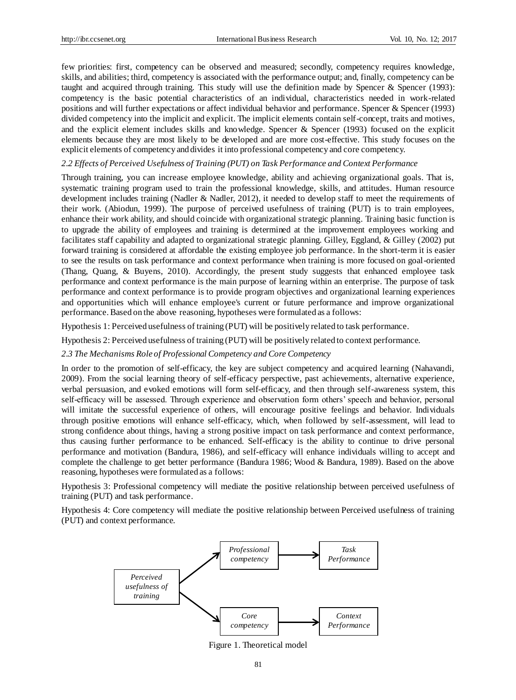few priorities: first, competency can be observed and measured; secondly, competency requires knowledge, skills, and abilities; third, competency is associated with the performance output; and, finally, competency can be taught and acquired through training. This study will use the definition made by Spencer & Spencer (1993): competency is the basic potential characteristics of an individual, characteristics needed in work-related positions and will further expectations or affect individual behavior and performance. Spencer & Spencer (1993) divided competency into the implicit and explicit. The implicit elements contain self-concept, traits and motives, and the explicit element includes skills and knowledge. Spencer & Spencer (1993) focused on the explicit elements because they are most likely to be developed and are more cost-effective. This study focuses on the explicit elements of competency and divides it into professional competency and core competency.

## *2.2 Effects of Perceived Usefulness of Training (PUT) on Task Performance and Context Performance*

Through training, you can increase employee knowledge, ability and achieving organizational goals. That is, systematic training program used to train the professional knowledge, skills, and attitudes. Human resource development includes training (Nadler & Nadler, 2012), it needed to develop staff to meet the requirements of their work. (Abiodun, 1999). The purpose of perceived usefulness of training (PUT) is to train employees, enhance their work ability, and should coincide with organizational strategic planning. Training basic function is to upgrade the ability of employees and training is determined at the improvement employees working and facilitates staff capability and adapted to organizational strategic planning. Gilley, Eggland, & Gilley (2002) put forward training is considered at affordable the existing employee job performance. In the short-term it is easier to see the results on task performance and context performance when training is more focused on goal-oriented (Thang, Quang, & Buyens, 2010). Accordingly, the present study suggests that enhanced employee task performance and context performance is the main purpose of learning within an enterprise. The purpose of task performance and context performance is to provide program objectives and organizational learning experiences and opportunities which will enhance employee's current or future performance and improve organizational performance. Based on the above reasoning, hypotheses were formulated as a follows:

Hypothesis 1: Perceived usefulness of training (PUT) will be positively related to task performance.

Hypothesis 2: Perceived usefulness of training (PUT) will be positively related to context performance.

#### *2.3 The Mechanisms Role of Professional Competency and Core Competency*

In order to the promotion of self-efficacy, the key are subject competency and acquired learning (Nahavandi, 2009). From the social learning theory of self-efficacy perspective, past achievements, alternative experience, verbal persuasion, and evoked emotions will form self-efficacy, and then through self-awareness system, this self-efficacy will be assessed. Through experience and observation form others' speech and behavior, personal will imitate the successful experience of others, will encourage positive feelings and behavior. Individuals through positive emotions will enhance self-efficacy, which, when followed by self-assessment, will lead to strong confidence about things, having a strong positive impact on task performance and context performance, thus causing further performance to be enhanced. Self-efficacy is the ability to continue to drive personal performance and motivation (Bandura, 1986), and self-efficacy will enhance individuals willing to accept and complete the challenge to get better performance (Bandura 1986; Wood & Bandura, 1989). Based on the above reasoning, hypotheses were formulated as a follows:

Hypothesis 3: Professional competency will mediate the positive relationship between perceived usefulness of training (PUT) and task performance.

Hypothesis 4: Core competency will mediate the positive relationship between Perceived usefulness of training (PUT) and context performance.



Figure 1. Theoretical model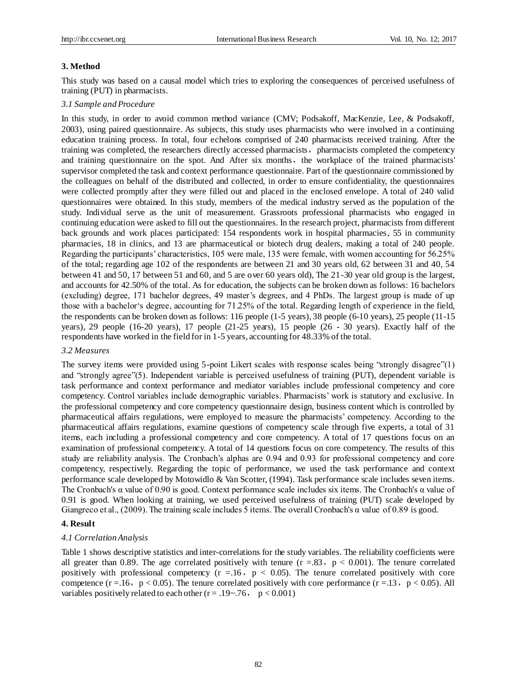### **3. Method**

This study was based on a causal model which tries to exploring the consequences of perceived usefulness of training (PUT) in pharmacists.

## *3.1 Sample and Procedure*

In this study, in order to avoid common method variance (CMV; Podsakoff, MacKenzie, Lee, & Podsakoff, 2003), using paired questionnaire. As subjects, this study uses pharmacists who were involved in a continuing education training process. In total, four echelons comprised of 240 pharmacists received training. After the training was completed, the researchers directly accessed pharmacists,pharmacists completed the competency and training questionnaire on the spot. And After six months, the workplace of the trained pharmacists' supervisor completed the task and context performance questionnaire. Part of the questionnaire commissioned by the colleagues on behalf of the distributed and collected, in order to ensure confidentiality, the questionnaires were collected promptly after they were filled out and placed in the enclosed envelope. A total of 240 valid questionnaires were obtained. In this study, members of the medical industry served as the population of the study. Individual serve as the unit of measurement. Grassroots professional pharmacists who engaged in continuing education were asked to fill out the questionnaires. In the research project, pharmacists from different back grounds and work places participated: 154 respondents work in hospital pharmacies, 55 in community pharmacies, 18 in clinics, and 13 are pharmaceutical or biotech drug dealers, making a total of 240 people. Regarding the participants' characteristics, 105 were male, 135 were female, with women accounting for 56.25% of the total; regarding age 102 of the respondents are between 21 and 30 years old, 62 between 31 and 40, 54 between 41 and 50, 17 between 51 and 60, and 5 are over 60 years old), The 21-30 year old group is the largest, and accounts for 42.50% of the total. As for education, the subjects can be broken down as follows: 16 bachelors (excluding) degree, 171 bachelor degrees, 49 master's degrees, and 4 PhDs. The largest group is made of up those with a bachelor's degree, accounting for 71.25% of the total. Regarding length of experience in the field, the respondents can be broken down as follows: 116 people (1-5 years), 38 people (6-10 years), 25 people (11-15 years), 29 people (16-20 years), 17 people (21-25 years), 15 people (26 - 30 years). Exactly half of the respondents have worked in the field for in 1-5 years, accounting for 48.33% of the total.

#### *3.2 Measures*

The survey items were provided using 5-point Likert scales with response scales being "strongly disagree"(1) and "strongly agree"(5). Independent variable is perceived usefulness of training (PUT), dependent variable is task performance and context performance and mediator variables include professional competency and core competency. Control variables include demographic variables. Pharmacists' work is statutory and exclusive. In the professional competency and core competency questionnaire design, business content which is controlled by pharmaceutical affairs regulations, were employed to measure the pharmacists' competency. According to the pharmaceutical affairs regulations, examine questions of competency scale through five experts, a total of 31 items, each including a professional competency and core competency. A total of 17 questions focus on an examination of professional competency. A total of 14 questions focus on core competency. The results of this study are reliability analysis. The Cronbach's alphas are 0.94 and 0.93 for professional competency and core competency, respectively. Regarding the topic of performance, we used the task performance and context performance scale developed by Motowidlo & Van Scotter, (1994). Task performance scale includes seven items. The Cronbach's  $\alpha$  value of 0.90 is good. Context performance scale includes six items. The Cronbach's  $\alpha$  value of 0.91 is good. When looking at training, we used perceived usefulness of training (PUT) scale developed by Giangreco et al., (2009). The training scale includes 5 items. The overall Cronbach's α value of 0.89 is good.

# **4. Result**

### *4.1 Correlation Analysis*

Table 1 shows descriptive statistics and inter-correlations for the study variables. The reliability coefficients were all greater than 0.89. The age correlated positively with tenure  $(r = .83, p < 0.001)$ . The tenure correlated positively with professional competency  $(r = .16, p < 0.05)$ . The tenure correlated positively with core competence (r =.16, p < 0.05). The tenure correlated positively with core performance (r =.13, p < 0.05). All variables positively related to each other  $(r = .19 \sim .76, p < 0.001)$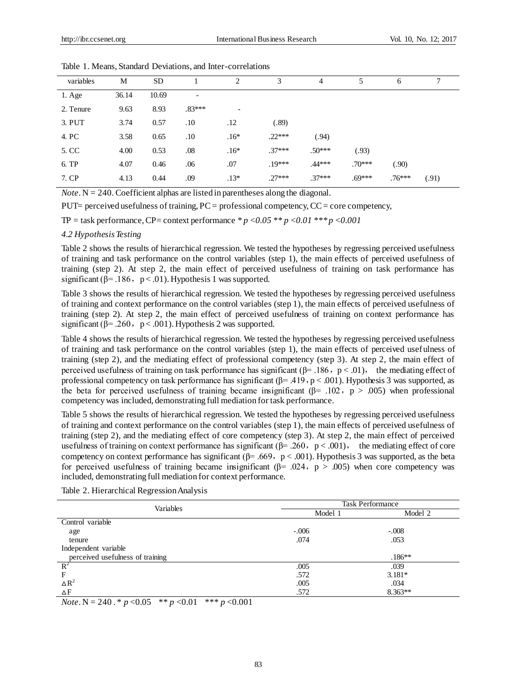| variables       | M     | SD    |                 | 2                        | 3        | 4        | 5        | 6        | 7     |  |
|-----------------|-------|-------|-----------------|--------------------------|----------|----------|----------|----------|-------|--|
| $1. \text{Age}$ | 36.14 | 10.69 | $\qquad \qquad$ |                          |          |          |          |          |       |  |
| 2. Tenure       | 9.63  | 8.93  | $.83***$        | $\overline{\phantom{0}}$ |          |          |          |          |       |  |
| 3. PUT          | 3.74  | 0.57  | .10             | .12                      | (.89)    |          |          |          |       |  |
| 4. PC           | 3.58  | 0.65  | .10             | $.16*$                   | $.22***$ | (.94)    |          |          |       |  |
| 5. CC           | 4.00  | 0.53  | .08             | $.16*$                   | $.37***$ | $.50***$ | (.93)    |          |       |  |
| 6. TP           | 4.07  | 0.46  | .06             | .07                      | $.19***$ | $.44***$ | $.70***$ | (.90)    |       |  |
| 7. CP           | 4.13  | 0.44  | .09             | $.13*$                   | $.27***$ | $.37***$ | $.69***$ | $.76***$ | (.91) |  |
|                 |       |       |                 |                          |          |          |          |          |       |  |

Table 1. Means, Standard Deviations, and Inter-correlations

*Note*.  $N = 240$ . Coefficient alphas are listed in parentheses along the diagonal.

PUT= perceived usefulness of training, PC = professional competency, CC = core competency,

TP = task performance, CP= context performance  $p < 0.05$  \*\*  $p < 0.01$  \*\*\*  $p < 0.001$ 

### *4.2 Hypothesis Testing*

Table 2 shows the results of hierarchical regression. We tested the hypotheses by regressing perceived usefulness of training and task performance on the control variables (step 1), the main effects of perceived usefulness of training (step 2). At step 2, the main effect of perceived usefulness of training on task performance has significant ( $\beta$ = .186, p < .01). Hypothesis 1 was supported.

Table 3 shows the results of hierarchical regression. We tested the hypotheses by regressing perceived usefulness of training and context performance on the control variables (step 1), the main effects of perceived usefulness of training (step 2). At step 2, the main effect of perceived usefulness of training on context performance has significant ( $\beta$ = .260, p < .001). Hypothesis 2 was supported.

Table 4 shows the results of hierarchical regression. We tested the hypotheses by regressing perceived usefulness of training and task performance on the control variables (step 1), the main effects of perceived usefulness of training (step 2), and the mediating effect of professional competency (step 3). At step 2, the main effect of perceived usefulness of training on task performance has significant ( $\beta$ = .186, p < .01), the mediating effect of professional competency on task performance has significant (β= .419,p < .001). Hypothesis 3 was supported, as the beta for perceived usefulness of training became insignificant ( $\beta$ = .102, p > .005) when professional competency was included, demonstrating full mediation for task performance.

Table 5 shows the results of hierarchical regression. We tested the hypotheses by regressing perceived usefulness of training and context performance on the control variables (step 1), the main effects of perceived usefulness of training (step 2), and the mediating effect of core competency (step 3). At step 2, the main effect of perceived usefulness of training on context performance has significant ( $\beta$ = .260, p < .001), the mediating effect of core competency on context performance has significant ( $\beta$ = .669, p < .001). Hypothesis 3 was supported, as the beta for perceived usefulness of training became insignificant ( $\beta$ = .024, p > .005) when core competency was included, demonstrating full mediation for context performance.

Table 2. Hierarchical Regression Analysis

|                                  | <b>Task Performance</b> |           |  |
|----------------------------------|-------------------------|-----------|--|
| Variables                        | Model 1                 | Model 2   |  |
| Control variable                 |                         |           |  |
| age                              | $-.006$                 | $-.008$   |  |
| tenure                           | .074                    | .053      |  |
| Independent variable             |                         |           |  |
| perceived usefulness of training |                         | $.186**$  |  |
| $R^2$                            | .005                    | .039      |  |
| F                                | .572                    | $3.181*$  |  |
| $\Delta R^2$                     | .005                    | .034      |  |
| $\Delta F$                       | .572                    | $8.363**$ |  |

*Note*.  $N = 240$ . \* *p* <0.05 \*\* *p* <0.01 \*\*\* *p* <0.001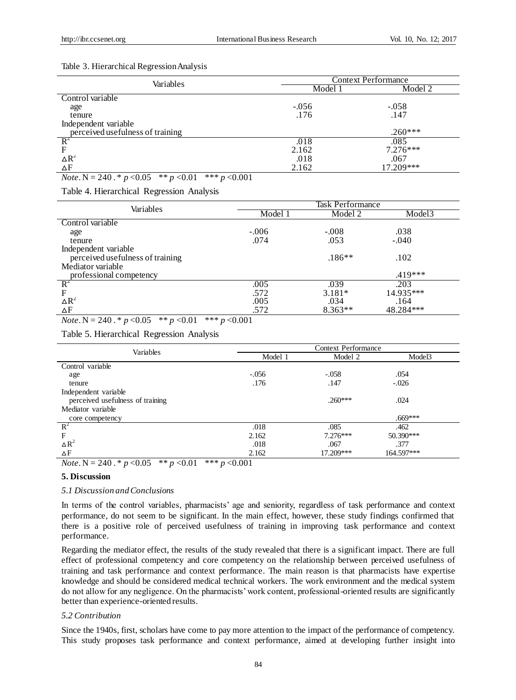## Table 3. Hierarchical Regression Analysis

| Variables                        | <b>Context Performance</b> |            |  |  |
|----------------------------------|----------------------------|------------|--|--|
|                                  | Model 1                    | Model 2    |  |  |
| Control variable                 |                            |            |  |  |
| age                              | $-.056$                    | $-.058$    |  |  |
| tenure                           | .176                       | .147       |  |  |
| Independent variable             |                            |            |  |  |
| perceived usefulness of training |                            | $.260***$  |  |  |
| $\overline{R}^2$                 | .018                       | .085       |  |  |
| F                                | 2.162                      | $7.276***$ |  |  |
| $\Delta R^2$                     | .018                       | .067       |  |  |
| $\Delta F$                       | 2.162                      | 17.209***  |  |  |

*Note*. N = 240 . \* *p* <0.05 \*\* *p* <0.01 \*\*\* *p* <0.001

Table 4. Hierarchical Regression Analysis

| Variables                                               | Task Performance |           |                    |  |  |
|---------------------------------------------------------|------------------|-----------|--------------------|--|--|
|                                                         | Model 1          | Model 2   | Model <sub>3</sub> |  |  |
| Control variable                                        |                  |           |                    |  |  |
| age                                                     | $-.006$          | $-.008$   | .038               |  |  |
| tenure                                                  | .074             | .053      | $-.040$            |  |  |
| Independent variable                                    |                  |           |                    |  |  |
| perceived usefulness of training                        |                  | $.186**$  | .102               |  |  |
| Mediator variable                                       |                  |           |                    |  |  |
| professional competency                                 |                  |           | $.419***$          |  |  |
| $R^2$                                                   | .005             | .039      | .203               |  |  |
| $_{\rm F}$                                              | .572             | $3.181*$  | 14.935***          |  |  |
| $\Delta R^2$                                            | .005             | .034      | .164               |  |  |
| ΔF                                                      | .572             | $8.363**$ | 48.284***          |  |  |
| ** $p < 0.01$<br><i>Note</i> . $N = 240$ . * $p < 0.05$ | *** $p < 0.001$  |           |                    |  |  |

Table 5. Hierarchical Regression Analysis

| Variables                                                | <b>Context Performance</b> |            |                    |  |  |
|----------------------------------------------------------|----------------------------|------------|--------------------|--|--|
|                                                          | Model 1                    | Model 2    | Model <sub>3</sub> |  |  |
| Control variable                                         |                            |            |                    |  |  |
| age                                                      | $-.056$                    | $-.058$    | .054               |  |  |
| tenure                                                   | .176                       | .147       | $-.026$            |  |  |
| Independent variable<br>perceived usefulness of training |                            | $.260***$  | .024               |  |  |
| Mediator variable                                        |                            |            |                    |  |  |
| core competency                                          |                            |            | $.669***$          |  |  |
| $\mathbb{R}^2$                                           | .018                       | .085       | .462               |  |  |
| F                                                        | 2.162                      | $7.276***$ | 50.390***          |  |  |
| $\Delta R^2$                                             | .018                       | .067       | .377               |  |  |
| ΔF                                                       | 2.162                      | 17.209***  | 164.597***         |  |  |

*Note*.  $N = 240$ . \* *p* <0.05 \*\* *p* <0.01 \*\*\* *p* <0.001

# **5. Discussion**

## *5.1 Discussion and Conclusions*

In terms of the control variables, pharmacists' age and seniority, regardless of task performance and context performance, do not seem to be significant. In the main effect, however, these study findings confirmed that there is a positive role of perceived usefulness of training in improving task performance and context performance.

Regarding the mediator effect, the results of the study revealed that there is a significant impact. There are full effect of professional competency and core competency on the relationship between perceived usefulness of training and task performance and context performance. The main reason is that pharmacists have expertise knowledge and should be considered medical technical workers. The work environment and the medical system do not allow for any negligence. On the pharmacists' work content, professional-oriented results are significantly better than experience-oriented results.

## *5.2 Contribution*

Since the 1940s, first, scholars have come to pay more attention to the impact of the performance of competency. This study proposes task performance and context performance, aimed at developing further insight into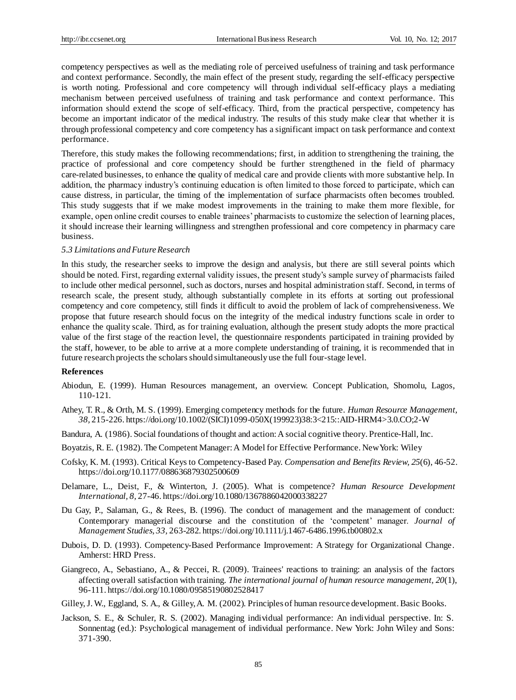competency perspectives as well as the mediating role of perceived usefulness of training and task performance and context performance. Secondly, the main effect of the present study, regarding the self-efficacy perspective is worth noting. Professional and core competency will through individual self-efficacy plays a mediating mechanism between perceived usefulness of training and task performance and context performance. This information should extend the scope of self-efficacy. Third, from the practical perspective, competency has become an important indicator of the medical industry. The results of this study make clear that whether it is through professional competency and core competency has a significant impact on task performance and context performance.

Therefore, this study makes the following recommendations; first, in addition to strengthening the training, the practice of professional and core competency should be further strengthened in the field of pharmacy care-related businesses, to enhance the quality of medical care and provide clients with more substantive help. In addition, the pharmacy industry's continuing education is often limited to those forced to participate, which can cause distress, in particular, the timing of the implementation of surface pharmacists often becomes troubled. This study suggests that if we make modest improvements in the training to make them more flexible, for example, open online credit courses to enable trainees' pharmacists to customize the selection of learning places, it should increase their learning willingness and strengthen professional and core competency in pharmacy care business.

#### *5.3 Limitations and Future Research*

In this study, the researcher seeks to improve the design and analysis, but there are still several points which should be noted. First, regarding external validity issues, the present study's sample survey of pharmacists failed to include other medical personnel, such as doctors, nurses and hospital administration staff. Second, in terms of research scale, the present study, although substantially complete in its efforts at sorting out professional competency and core competency, still finds it difficult to avoid the problem of lack of comprehensiveness. We propose that future research should focus on the integrity of the medical industry functions scale in order to enhance the quality scale. Third, as for training evaluation, although the present study adopts the more practical value of the first stage of the reaction level, the questionnaire respondents participated in training provided by the staff, however, to be able to arrive at a more complete understanding of training, it is recommended that in future research projects the scholars should simultaneously use the full four-stage level.

#### **References**

- Abiodun, E. (1999). Human Resources management, an overview. Concept Publication, Shomolu, Lagos, 110-121.
- Athey, T. R., & Orth, M. S. (1999). Emerging competency methods for the future. *Human Resource Management, 38,* 215-226. https://doi.org/10.1002/(SICI)1099-050X(199923)38:3<215::AID-HRM4>3.0.CO;2-W
- Bandura, A. (1986). Social foundations of thought and action: A social cognitive theory. Prentice-Hall, Inc.
- Boyatzis, R. E. (1982). The Competent Manager: A Model for Effective Performance. New York: Wiley
- Cofsky, K. M. (1993). Critical Keys to Competency-Based Pay. *Compensation and Benefits Review, 25*(6), 46-52. https://doi.org/10.1177/088636879302500609
- Delamare, L., Deist, F., & Winterton, J. (2005). What is competence? *Human Resource Development International, 8,* 27-46. https://doi.org/10.1080/1367886042000338227
- Du Gay, P., Salaman, G., & Rees, B. (1996). The conduct of management and the management of conduct: Contemporary managerial discourse and the constitution of the 'competent' manager. *Journal of Management Studies, 33,* 263-282. https://doi.org/10.1111/j.1467-6486.1996.tb00802.x
- Dubois, D. D. (1993). Competency-Based Performance Improvement: A Strategy for Organizational Change. Amherst: HRD Press.
- Giangreco, A., Sebastiano, A., & Peccei, R. (2009). Trainees' reactions to training: an analysis of the factors affecting overall satisfaction with training. *The international journal of human resource management, 20*(1), 96-111. https://doi.org/10.1080/09585190802528417
- Gilley, J. W., Eggland, S. A., & Gilley, A. M. (2002). Principles of human resource development. Basic Books.
- Jackson, S. E., & Schuler, R. S. (2002). Managing individual performance: An individual perspective. In: S. Sonnentag (ed.): Psychological management of individual performance. New York: John Wiley and Sons: 371-390.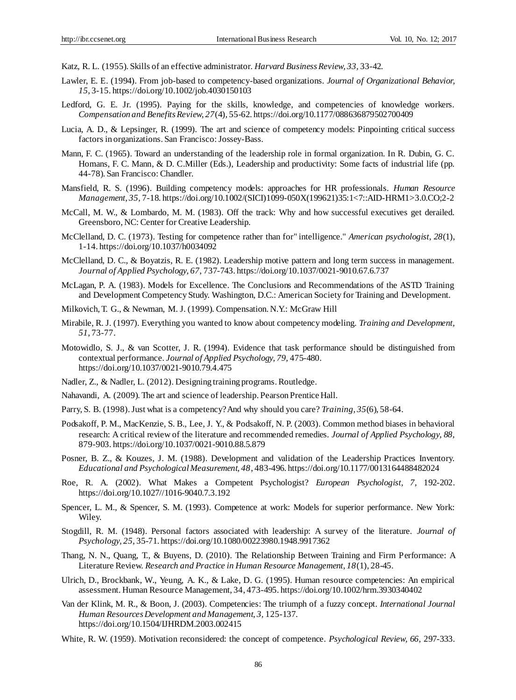Katz, R. L. (1955). Skills of an effective administrator. *Harvard Business Review, 33,* 33-42.

- Lawler, E. E. (1994). From job-based to competency-based organizations. *Journal of Organizational Behavior, 15,* 3-15. https://doi.org/10.1002/job.4030150103
- Ledford, G. E. Jr. (1995). Paying for the skills, knowledge, and competencies of knowledge workers. *Compensation and Benefits Review, 27*(4), 55-62. https://doi.org/10.1177/088636879502700409
- Lucia, A. D., & Lepsinger, R. (1999). The art and science of competency models: Pinpointing critical success factors in organizations. San Francisco: Jossey-Bass.
- Mann, F. C. (1965). Toward an understanding of the leadership role in formal organization. In R. Dubin, G. C. Homans, F. C. Mann, & D. C.Miller (Eds.), Leadership and productivity: Some facts of industrial life (pp. 44-78). San Francisco: Chandler.
- Mansfield, R. S. (1996). Building competency models: approaches for HR professionals. *Human Resource Management, 35,* 7-18. https://doi.org/10.1002/(SICI)1099-050X(199621)35:1<7::AID-HRM1>3.0.CO;2-2
- McCall, M. W., & Lombardo, M. M. (1983). Off the track: Why and how successful executives get derailed. Greensboro, NC: Center for Creative Leadership.
- McClelland, D. C. (1973). Testing for competence rather than for" intelligence." *American psychologist, 28*(1), 1-14. https://doi.org/10.1037/h0034092
- McClelland, D. C., & Boyatzis, R. E. (1982). Leadership motive pattern and long term success in management. *Journal of Applied Psychology, 67,* 737-743. https://doi.org/10.1037/0021-9010.67.6.737
- McLagan, P. A. (1983). Models for Excellence. The Conclusions and Recommendations of the ASTD Training and Development Competency Study. Washington, D.C.: American Society for Training and Development.
- Milkovich, T. G., & Newman, M. J. (1999). Compensation. N.Y.: McGraw Hill
- Mirabile, R. J. (1997). Everything you wanted to know about competency modeling. *Training and Development, 51,* 73-77.
- Motowidlo, S. J., & van Scotter, J. R. (1994). Evidence that task performance should be distinguished from contextual performance. *Journal of Applied Psychology, 79,* 475-480. https://doi.org/10.1037/0021-9010.79.4.475
- Nadler, Z., & Nadler, L. (2012). Designing training programs. Routledge.
- Nahavandi, A. (2009). The art and science of leadership. Pearson Prentice Hall.
- Parry, S. B. (1998). Just what is a competency? And why should you care? *Training, 35*(6), 58-64.
- Podsakoff, P. M., MacKenzie, S. B., Lee, J. Y., & Podsakoff, N. P. (2003). Common method biases in behavioral research: A critical review of the literature and recommended remedies. *Journal of Applied Psychology, 88,*  879-903. https://doi.org/10.1037/0021-9010.88.5.879
- Posner, B. Z., & Kouzes, J. M. (1988). Development and validation of the Leadership Practices Inventory. *Educational and Psychological Measurement, 48*, 483-496. https://doi.org/10.1177/0013164488482024
- Roe, R. A. (2002). What Makes a Competent Psychologist? *European Psychologist, 7,* 192-202. https://doi.org/10.1027//1016-9040.7.3.192
- Spencer, L. M., & Spencer, S. M. (1993). Competence at work: Models for superior performance. New York: Wiley.
- Stogdill, R. M. (1948). Personal factors associated with leadership: A survey of the literature. *Journal of Psychology, 25,* 35-71. https://doi.org/10.1080/00223980.1948.9917362
- Thang, N. N., Quang, T., & Buyens, D. (2010). The Relationship Between Training and Firm Performance: A Literature Review. *Research and Practice in Human Resource Management, 18*(1), 28-45.
- Ulrich, D., Brockbank, W., Yeung, A. K., & Lake, D. G. (1995). Human resource competencies: An empirical assessment. Human Resource Management, 34, 473-495. https://doi.org/10.1002/hrm.3930340402
- Van der Klink, M. R., & Boon, J. (2003). Competencies: The triumph of a fuzzy concept. *International Journal Human Resources Development and Management, 3,* 125-137. https://doi.org/10.1504/IJHRDM.2003.002415
- White, R. W. (1959). Motivation reconsidered: the concept of competence. *Psychological Review, 66,* 297-333.